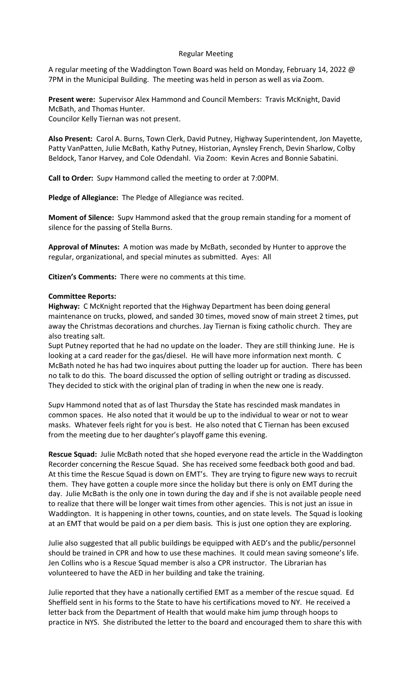# Regular Meeting

A regular meeting of the Waddington Town Board was held on Monday, February 14, 2022 @ 7PM in the Municipal Building. The meeting was held in person as well as via Zoom.

Present were: Supervisor Alex Hammond and Council Members: Travis McKnight, David McBath, and Thomas Hunter. Councilor Kelly Tiernan was not present.

Also Present: Carol A. Burns, Town Clerk, David Putney, Highway Superintendent, Jon Mayette, Patty VanPatten, Julie McBath, Kathy Putney, Historian, Aynsley French, Devin Sharlow, Colby Beldock, Tanor Harvey, and Cole Odendahl. Via Zoom: Kevin Acres and Bonnie Sabatini.

Call to Order: Supv Hammond called the meeting to order at 7:00PM.

Pledge of Allegiance: The Pledge of Allegiance was recited.

Moment of Silence: Supv Hammond asked that the group remain standing for a moment of silence for the passing of Stella Burns.

Approval of Minutes: A motion was made by McBath, seconded by Hunter to approve the regular, organizational, and special minutes as submitted. Ayes: All

Citizen's Comments: There were no comments at this time.

# Committee Reports:

Highway: C McKnight reported that the Highway Department has been doing general maintenance on trucks, plowed, and sanded 30 times, moved snow of main street 2 times, put away the Christmas decorations and churches. Jay Tiernan is fixing catholic church. They are also treating salt.

Supt Putney reported that he had no update on the loader. They are still thinking June. He is looking at a card reader for the gas/diesel. He will have more information next month. C McBath noted he has had two inquires about putting the loader up for auction. There has been no talk to do this. The board discussed the option of selling outright or trading as discussed. They decided to stick with the original plan of trading in when the new one is ready.

Supv Hammond noted that as of last Thursday the State has rescinded mask mandates in common spaces. He also noted that it would be up to the individual to wear or not to wear masks. Whatever feels right for you is best. He also noted that C Tiernan has been excused from the meeting due to her daughter's playoff game this evening.

Rescue Squad: Julie McBath noted that she hoped everyone read the article in the Waddington Recorder concerning the Rescue Squad. She has received some feedback both good and bad. At this time the Rescue Squad is down on EMT's. They are trying to figure new ways to recruit them. They have gotten a couple more since the holiday but there is only on EMT during the day. Julie McBath is the only one in town during the day and if she is not available people need to realize that there will be longer wait times from other agencies. This is not just an issue in Waddington. It is happening in other towns, counties, and on state levels. The Squad is looking at an EMT that would be paid on a per diem basis. This is just one option they are exploring.

Julie also suggested that all public buildings be equipped with AED's and the public/personnel should be trained in CPR and how to use these machines. It could mean saving someone's life. Jen Collins who is a Rescue Squad member is also a CPR instructor. The Librarian has volunteered to have the AED in her building and take the training.

Julie reported that they have a nationally certified EMT as a member of the rescue squad. Ed Sheffield sent in his forms to the State to have his certifications moved to NY. He received a letter back from the Department of Health that would make him jump through hoops to practice in NYS. She distributed the letter to the board and encouraged them to share this with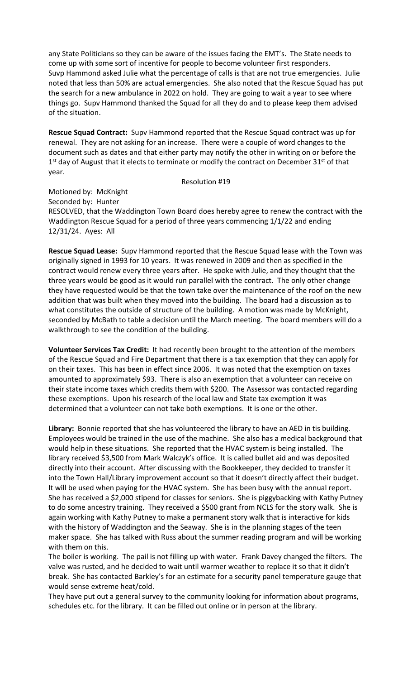any State Politicians so they can be aware of the issues facing the EMT's. The State needs to come up with some sort of incentive for people to become volunteer first responders. Suvp Hammond asked Julie what the percentage of calls is that are not true emergencies. Julie noted that less than 50% are actual emergencies. She also noted that the Rescue Squad has put the search for a new ambulance in 2022 on hold. They are going to wait a year to see where things go. Supv Hammond thanked the Squad for all they do and to please keep them advised of the situation.

Rescue Squad Contract: Supv Hammond reported that the Rescue Squad contract was up for renewal. They are not asking for an increase. There were a couple of word changes to the document such as dates and that either party may notify the other in writing on or before the 1<sup>st</sup> day of August that it elects to terminate or modify the contract on December 31<sup>st</sup> of that year.

# Resolution #19

Motioned by: McKnight

Seconded by: Hunter

RESOLVED, that the Waddington Town Board does hereby agree to renew the contract with the Waddington Rescue Squad for a period of three years commencing 1/1/22 and ending 12/31/24. Ayes: All

Rescue Squad Lease: Supv Hammond reported that the Rescue Squad lease with the Town was originally signed in 1993 for 10 years. It was renewed in 2009 and then as specified in the contract would renew every three years after. He spoke with Julie, and they thought that the three years would be good as it would run parallel with the contract. The only other change they have requested would be that the town take over the maintenance of the roof on the new addition that was built when they moved into the building. The board had a discussion as to what constitutes the outside of structure of the building. A motion was made by McKnight, seconded by McBath to table a decision until the March meeting. The board members will do a walkthrough to see the condition of the building.

Volunteer Services Tax Credit: It had recently been brought to the attention of the members of the Rescue Squad and Fire Department that there is a tax exemption that they can apply for on their taxes. This has been in effect since 2006. It was noted that the exemption on taxes amounted to approximately \$93. There is also an exemption that a volunteer can receive on their state income taxes which credits them with \$200. The Assessor was contacted regarding these exemptions. Upon his research of the local law and State tax exemption it was determined that a volunteer can not take both exemptions. It is one or the other.

Library: Bonnie reported that she has volunteered the library to have an AED in tis building. Employees would be trained in the use of the machine. She also has a medical background that would help in these situations. She reported that the HVAC system is being installed. The library received \$3,500 from Mark Walczyk's office. It is called bullet aid and was deposited directly into their account. After discussing with the Bookkeeper, they decided to transfer it into the Town Hall/Library improvement account so that it doesn't directly affect their budget. It will be used when paying for the HVAC system. She has been busy with the annual report. She has received a \$2,000 stipend for classes for seniors. She is piggybacking with Kathy Putney to do some ancestry training. They received a \$500 grant from NCLS for the story walk. She is again working with Kathy Putney to make a permanent story walk that is interactive for kids with the history of Waddington and the Seaway. She is in the planning stages of the teen maker space. She has talked with Russ about the summer reading program and will be working with them on this.

The boiler is working. The pail is not filling up with water. Frank Davey changed the filters. The valve was rusted, and he decided to wait until warmer weather to replace it so that it didn't break. She has contacted Barkley's for an estimate for a security panel temperature gauge that would sense extreme heat/cold.

They have put out a general survey to the community looking for information about programs, schedules etc. for the library. It can be filled out online or in person at the library.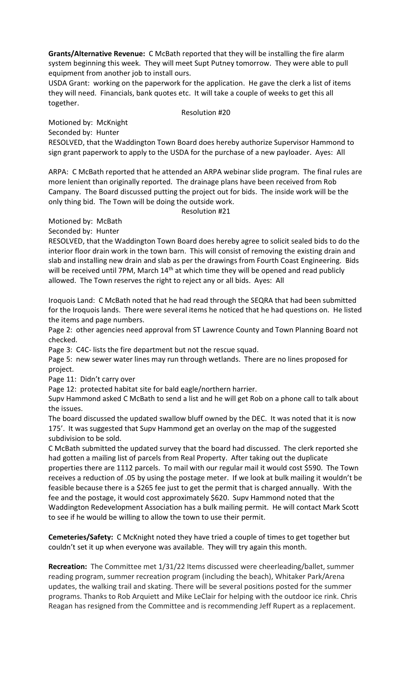Grants/Alternative Revenue: C McBath reported that they will be installing the fire alarm system beginning this week. They will meet Supt Putney tomorrow. They were able to pull equipment from another job to install ours.

USDA Grant: working on the paperwork for the application. He gave the clerk a list of items they will need. Financials, bank quotes etc. It will take a couple of weeks to get this all together.

#### Resolution #20

Motioned by: McKnight Seconded by: Hunter

RESOLVED, that the Waddington Town Board does hereby authorize Supervisor Hammond to sign grant paperwork to apply to the USDA for the purchase of a new payloader. Ayes: All

ARPA: C McBath reported that he attended an ARPA webinar slide program. The final rules are more lenient than originally reported. The drainage plans have been received from Rob Campany. The Board discussed putting the project out for bids. The inside work will be the only thing bid. The Town will be doing the outside work.

Resolution #21

Motioned by: McBath

Seconded by: Hunter

RESOLVED, that the Waddington Town Board does hereby agree to solicit sealed bids to do the interior floor drain work in the town barn. This will consist of removing the existing drain and slab and installing new drain and slab as per the drawings from Fourth Coast Engineering. Bids will be received until 7PM, March 14<sup>th</sup> at which time they will be opened and read publicly allowed. The Town reserves the right to reject any or all bids. Ayes: All

Iroquois Land: C McBath noted that he had read through the SEQRA that had been submitted for the Iroquois lands. There were several items he noticed that he had questions on. He listed the items and page numbers.

Page 2: other agencies need approval from ST Lawrence County and Town Planning Board not checked.

Page 3: C4C- lists the fire department but not the rescue squad.

Page 5: new sewer water lines may run through wetlands. There are no lines proposed for project.

Page 11: Didn't carry over

Page 12: protected habitat site for bald eagle/northern harrier.

Supv Hammond asked C McBath to send a list and he will get Rob on a phone call to talk about the issues.

The board discussed the updated swallow bluff owned by the DEC. It was noted that it is now 175'. It was suggested that Supv Hammond get an overlay on the map of the suggested subdivision to be sold.

C McBath submitted the updated survey that the board had discussed. The clerk reported she had gotten a mailing list of parcels from Real Property. After taking out the duplicate properties there are 1112 parcels. To mail with our regular mail it would cost \$590. The Town receives a reduction of .05 by using the postage meter. If we look at bulk mailing it wouldn't be feasible because there is a \$265 fee just to get the permit that is charged annually. With the fee and the postage, it would cost approximately \$620. Supv Hammond noted that the Waddington Redevelopment Association has a bulk mailing permit. He will contact Mark Scott to see if he would be willing to allow the town to use their permit.

Cemeteries/Safety: C McKnight noted they have tried a couple of times to get together but couldn't set it up when everyone was available. They will try again this month.

Recreation: The Committee met 1/31/22 Items discussed were cheerleading/ballet, summer reading program, summer recreation program (including the beach), Whitaker Park/Arena updates, the walking trail and skating. There will be several positions posted for the summer programs. Thanks to Rob Arquiett and Mike LeClair for helping with the outdoor ice rink. Chris Reagan has resigned from the Committee and is recommending Jeff Rupert as a replacement.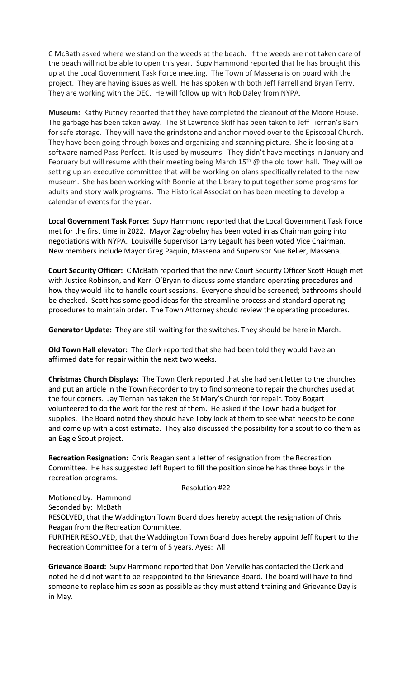C McBath asked where we stand on the weeds at the beach. If the weeds are not taken care of the beach will not be able to open this year. Supv Hammond reported that he has brought this up at the Local Government Task Force meeting. The Town of Massena is on board with the project. They are having issues as well. He has spoken with both Jeff Farrell and Bryan Terry. They are working with the DEC. He will follow up with Rob Daley from NYPA.

Museum: Kathy Putney reported that they have completed the cleanout of the Moore House. The garbage has been taken away. The St Lawrence Skiff has been taken to Jeff Tiernan's Barn for safe storage. They will have the grindstone and anchor moved over to the Episcopal Church. They have been going through boxes and organizing and scanning picture. She is looking at a software named Pass Perfect. It is used by museums. They didn't have meetings in January and February but will resume with their meeting being March  $15<sup>th</sup>$  @ the old town hall. They will be setting up an executive committee that will be working on plans specifically related to the new museum. She has been working with Bonnie at the Library to put together some programs for adults and story walk programs. The Historical Association has been meeting to develop a calendar of events for the year.

Local Government Task Force: Supv Hammond reported that the Local Government Task Force met for the first time in 2022. Mayor Zagrobelny has been voted in as Chairman going into negotiations with NYPA. Louisville Supervisor Larry Legault has been voted Vice Chairman. New members include Mayor Greg Paquin, Massena and Supervisor Sue Beller, Massena.

Court Security Officer: C McBath reported that the new Court Security Officer Scott Hough met with Justice Robinson, and Kerri O'Bryan to discuss some standard operating procedures and how they would like to handle court sessions. Everyone should be screened; bathrooms should be checked. Scott has some good ideas for the streamline process and standard operating procedures to maintain order. The Town Attorney should review the operating procedures.

Generator Update: They are still waiting for the switches. They should be here in March.

Old Town Hall elevator: The Clerk reported that she had been told they would have an affirmed date for repair within the next two weeks.

Christmas Church Displays: The Town Clerk reported that she had sent letter to the churches and put an article in the Town Recorder to try to find someone to repair the churches used at the four corners. Jay Tiernan has taken the St Mary's Church for repair. Toby Bogart volunteered to do the work for the rest of them. He asked if the Town had a budget for supplies. The Board noted they should have Toby look at them to see what needs to be done and come up with a cost estimate. They also discussed the possibility for a scout to do them as an Eagle Scout project.

Recreation Resignation: Chris Reagan sent a letter of resignation from the Recreation Committee. He has suggested Jeff Rupert to fill the position since he has three boys in the recreation programs.

# Resolution #22

Motioned by: Hammond Seconded by: McBath

RESOLVED, that the Waddington Town Board does hereby accept the resignation of Chris Reagan from the Recreation Committee.

FURTHER RESOLVED, that the Waddington Town Board does hereby appoint Jeff Rupert to the Recreation Committee for a term of 5 years. Ayes: All

Grievance Board: Supv Hammond reported that Don Verville has contacted the Clerk and noted he did not want to be reappointed to the Grievance Board. The board will have to find someone to replace him as soon as possible as they must attend training and Grievance Day is in May.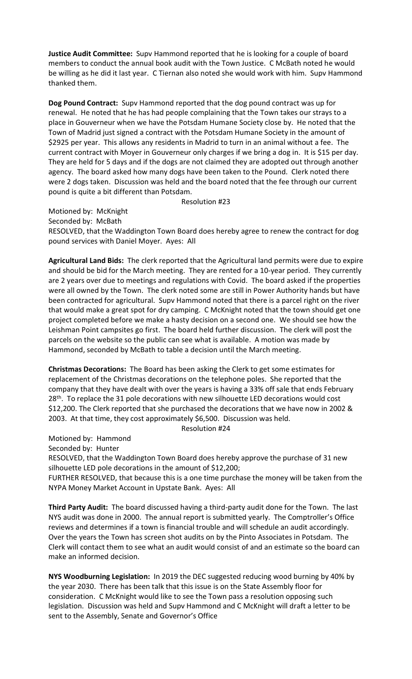Justice Audit Committee: Supv Hammond reported that he is looking for a couple of board members to conduct the annual book audit with the Town Justice. C McBath noted he would be willing as he did it last year. C Tiernan also noted she would work with him. Supv Hammond thanked them.

Dog Pound Contract: Supv Hammond reported that the dog pound contract was up for renewal. He noted that he has had people complaining that the Town takes our strays to a place in Gouverneur when we have the Potsdam Humane Society close by. He noted that the Town of Madrid just signed a contract with the Potsdam Humane Society in the amount of \$2925 per year. This allows any residents in Madrid to turn in an animal without a fee. The current contract with Moyer in Gouverneur only charges if we bring a dog in. It is \$15 per day. They are held for 5 days and if the dogs are not claimed they are adopted out through another agency. The board asked how many dogs have been taken to the Pound. Clerk noted there were 2 dogs taken. Discussion was held and the board noted that the fee through our current pound is quite a bit different than Potsdam.

Resolution #23

Motioned by: McKnight Seconded by: McBath RESOLVED, that the Waddington Town Board does hereby agree to renew the contract for dog pound services with Daniel Moyer. Ayes: All

Agricultural Land Bids: The clerk reported that the Agricultural land permits were due to expire and should be bid for the March meeting. They are rented for a 10-year period. They currently are 2 years over due to meetings and regulations with Covid. The board asked if the properties were all owned by the Town. The clerk noted some are still in Power Authority hands but have been contracted for agricultural. Supv Hammond noted that there is a parcel right on the river that would make a great spot for dry camping. C McKnight noted that the town should get one project completed before we make a hasty decision on a second one. We should see how the Leishman Point campsites go first. The board held further discussion. The clerk will post the parcels on the website so the public can see what is available. A motion was made by Hammond, seconded by McBath to table a decision until the March meeting.

Christmas Decorations: The Board has been asking the Clerk to get some estimates for replacement of the Christmas decorations on the telephone poles. She reported that the company that they have dealt with over the years is having a 33% off sale that ends February 28<sup>th</sup>. To replace the 31 pole decorations with new silhouette LED decorations would cost \$12,200. The Clerk reported that she purchased the decorations that we have now in 2002 & 2003. At that time, they cost approximately \$6,500. Discussion was held.

Resolution #24

Motioned by: Hammond

Seconded by: Hunter

RESOLVED, that the Waddington Town Board does hereby approve the purchase of 31 new silhouette LED pole decorations in the amount of \$12,200;

FURTHER RESOLVED, that because this is a one time purchase the money will be taken from the NYPA Money Market Account in Upstate Bank. Ayes: All

Third Party Audit: The board discussed having a third-party audit done for the Town. The last NYS audit was done in 2000. The annual report is submitted yearly. The Comptroller's Office reviews and determines if a town is financial trouble and will schedule an audit accordingly. Over the years the Town has screen shot audits on by the Pinto Associates in Potsdam. The Clerk will contact them to see what an audit would consist of and an estimate so the board can make an informed decision.

NYS Woodburning Legislation: In 2019 the DEC suggested reducing wood burning by 40% by the year 2030. There has been talk that this issue is on the State Assembly floor for consideration. C McKnight would like to see the Town pass a resolution opposing such legislation. Discussion was held and Supv Hammond and C McKnight will draft a letter to be sent to the Assembly, Senate and Governor's Office